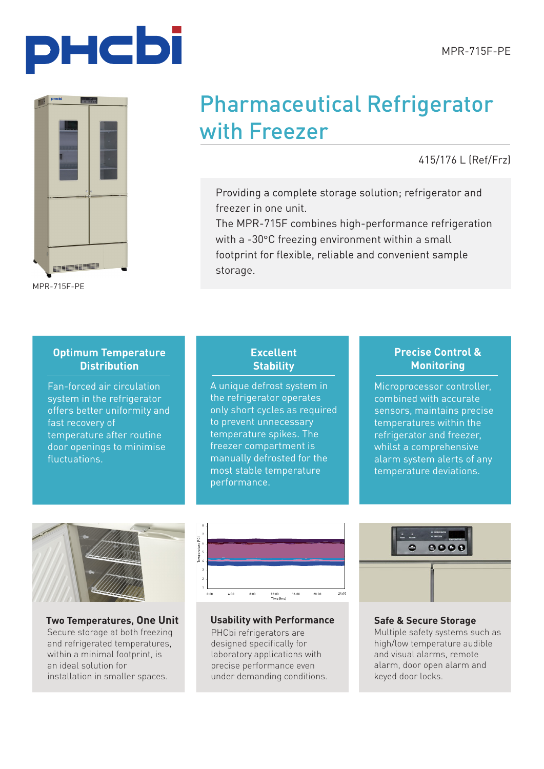



MPR-715F-PE

## Pharmaceutical Refrigerator with Freezer

415/176 L (Ref/Frz)

Providing a complete storage solution; refrigerator and freezer in one unit.

The MPR-715F combines high-performance refrigeration with a -30°C freezing environment within a small footprint for flexible, reliable and convenient sample storage.

### **Optimum Temperature Distribution**

Fan-forced air circulation system in the refrigerator offers better uniformity and fast recovery of temperature after routine door openings to minimise fluctuations.

## **Excellent Stability**

A unique defrost system in the refrigerator operates only short cycles as required to prevent unnecessary temperature spikes. The freezer compartment is manually defrosted for the most stable temperature performance.

## **Precise Control & Monitoring**

Microprocessor controller, combined with accurate sensors, maintains precise temperatures within the refrigerator and freezer, whilst a comprehensive alarm system alerts of any temperature deviations.



**Two Temperatures, One Unit** Secure storage at both freezing and refrigerated temperatures. within a minimal footprint, is an ideal solution for installation in smaller spaces.



MPR-721-PE Temperature Variation 24 hr Temperature Mapping (Unloaded)

Refrigerator Set at 5ºC

**Usability with Performance**

PHCbi refrigerators are designed specifically for laboratory applications with precise performance even under demanding conditions.



#### **Safe & Secure Storage**

Multiple safety systems such as high/low temperature audible and visual alarms, remote alarm, door open alarm and keyed door locks.